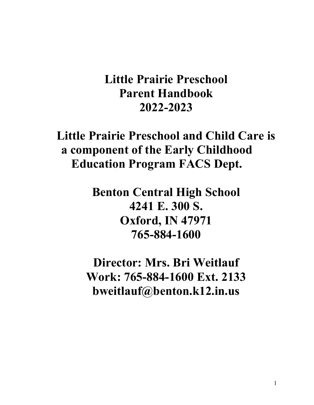# **Little Prairie Preschool Parent Handbook 2022-2023**

**Little Prairie Preschool and Child Care is a component of the Early Childhood Education Program FACS Dept.**

> **Benton Central High School 4241 E. 300 S. Oxford, IN 47971 765-884-1600**

**Director: Mrs. Bri Weitlauf Work: 765-884-1600 Ext. 2133 [bweitlauf@benton.k12.in.us](mailto:bweitlauf@benton.k12.in.us)**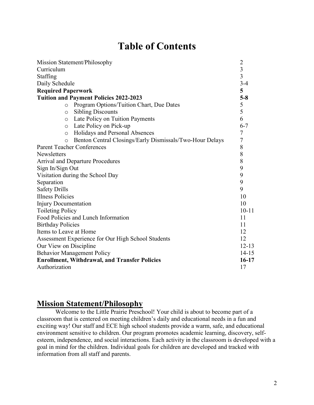# **Table of Contents**

| Mission Statement/Philosophy                                        |                |  |
|---------------------------------------------------------------------|----------------|--|
| Curriculum                                                          |                |  |
| Staffing                                                            |                |  |
| Daily Schedule                                                      |                |  |
| <b>Required Paperwork</b>                                           | 5              |  |
| <b>Tuition and Payment Policies 2022-2023</b>                       | $5-8$          |  |
| Program Options/Tuition Chart, Due Dates<br>$\circ$                 | 5              |  |
| <b>Sibling Discounts</b><br>$\circ$                                 | 5              |  |
| Late Policy on Tuition Payments<br>$\circ$                          | 6              |  |
| Late Policy on Pick-up<br>$\circ$                                   | $6 - 7$        |  |
| Holidays and Personal Absences<br>$\circ$                           | $\overline{7}$ |  |
| Benton Central Closings/Early Dismissals/Two-Hour Delays<br>$\circ$ | 7              |  |
| <b>Parent Teacher Conferences</b>                                   | 8              |  |
| Newsletters                                                         | 8              |  |
| Arrival and Departure Procedures                                    |                |  |
| Sign In/Sign Out                                                    |                |  |
| Visitation during the School Day                                    |                |  |
| Separation                                                          | 9              |  |
| <b>Safety Drills</b>                                                | 9              |  |
| <b>Illness Policies</b>                                             |                |  |
| <b>Injury Documentation</b>                                         | 10             |  |
| <b>Toileting Policy</b>                                             |                |  |
| Food Policies and Lunch Information                                 |                |  |
| <b>Birthday Policies</b>                                            |                |  |
| Items to Leave at Home                                              |                |  |
| Assessment Experience for Our High School Students                  |                |  |
| Our View on Discipline                                              |                |  |
| <b>Behavior Management Policy</b>                                   |                |  |
| <b>Enrollment, Withdrawal, and Transfer Policies</b>                |                |  |
| Authorization                                                       |                |  |

### **Mission Statement/Philosophy**

Welcome to the Little Prairie Preschool! Your child is about to become part of a classroom that is centered on meeting children"s daily and educational needs in a fun and exciting way! Our staff and ECE high school students provide a warm, safe, and educational environment sensitive to children. Our program promotes academic learning, discovery, selfesteem, independence, and social interactions. Each activity in the classroom is developed with a goal in mind for the children. Individual goals for children are developed and tracked with information from all staff and parents.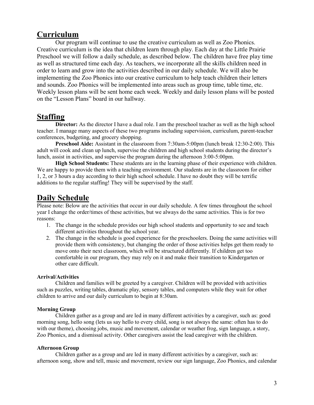### **Curriculum**

Our program will continue to use the creative curriculum as well as Zoo Phonics. Creative curriculum is the idea that children learn through play. Each day at the Little Prairie Preschool we will follow a daily schedule, as described below. The children have free play time as well as structured time each day. As teachers, we incorporate all the skills children need in order to learn and grow into the activities described in our daily schedule. We will also be implementing the Zoo Phonics into our creative curriculum to help teach children their letters and sounds. Zoo Phonics will be implemented into areas such as group time, table time, etc. Weekly lesson plans will be sent home each week. Weekly and daily lesson plans will be posted on the "Lesson Plans" board in our hallway.

### **Staffing**

**Director:** As the director I have a dual role. I am the preschool teacher as well as the high school teacher. I manage many aspects of these two programs including supervision, curriculum, parent-teacher conferences, budgeting, and grocery shopping.

**Preschool Aide:** Assistant in the classroom from 7:30am-5:00pm (lunch break 12:30-2:00). This adult will cook and clean up lunch, supervise the children and high school students during the director"s lunch, assist in activities, and supervise the program during the afternoon 3:00-5:00pm.

**High School Students:** These students are in the learning phase of their experience with children. We are happy to provide them with a teaching environment. Our students are in the classroom for either 1, 2, or 3 hours a day according to their high school schedule. I have no doubt they will be terrific additions to the regular staffing! They will be supervised by the staff.

### **Daily Schedule**

Please note: Below are the activities that occur in our daily schedule. A few times throughout the school year I change the order/times of these activities, but we always do the same activities. This is for two reasons:

- 1. The change in the schedule provides our high school students and opportunity to see and teach different activities throughout the school year.
- 2. The change in the schedule is good experience for the preschoolers. Doing the same activities will provide them with consistency, but changing the order of those activities helps get them ready to move onto their next classroom, which will be structured differently. If children get too comfortable in our program, they may rely on it and make their transition to Kindergarten or other care difficult.

#### **Arrival/Activities**

Children and families will be greeted by a caregiver. Children will be provided with activities such as puzzles, writing tables, dramatic play, sensory tables, and computers while they wait for other children to arrive and our daily curriculum to begin at 8:30am.

#### **Morning Group**

Children gather as a group and are led in many different activities by a caregiver, such as: good morning song, hello song (lets us say hello to every child, song is not always the same: often has to do with our theme), choosing jobs, music and movement, calendar or weather frog, sign language, a story, Zoo Phonics, and a dismissal activity. Other caregivers assist the lead caregiver with the children.

#### **Afternoon Group**

Children gather as a group and are led in many different activities by a caregiver, such as: afternoon song, show and tell, music and movement, review our sign language, Zoo Phonics, and calendar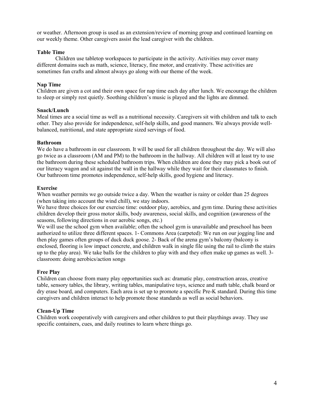or weather. Afternoon group is used as an extension/review of morning group and continued learning on our weekly theme. Other caregivers assist the lead caregiver with the children.

#### **Table Time**

Children use tabletop workspaces to participate in the activity. Activities may cover many different domains such as math, science, literacy, fine motor, and creativity. These activities are sometimes fun crafts and almost always go along with our theme of the week.

#### **Nap Time**

Children are given a cot and their own space for nap time each day after lunch. We encourage the children to sleep or simply rest quietly. Soothing children"s music is played and the lights are dimmed.

#### **Snack/Lunch**

Meal times are a social time as well as a nutritional necessity. Caregivers sit with children and talk to each other. They also provide for independence, self-help skills, and good manners. We always provide wellbalanced, nutritional, and state appropriate sized servings of food.

#### **Bathroom**

We do have a bathroom in our classroom. It will be used for all children throughout the day. We will also go twice as a classroom (AM and PM) to the bathroom in the hallway. All children will at least try to use the bathroom during these scheduled bathroom trips. When children are done they may pick a book out of our literacy wagon and sit against the wall in the hallway while they wait for their classmates to finish. Our bathroom time promotes independence, self-help skills, good hygiene and literacy.

#### **Exercise**

When weather permits we go outside twice a day. When the weather is rainy or colder than 25 degrees (when taking into account the wind chill), we stay indoors.

We have three choices for our exercise time: outdoor play, aerobics, and gym time. During these activities children develop their gross motor skills, body awareness, social skills, and cognition (awareness of the seasons, following directions in our aerobic songs, etc.)

We will use the school gym when available; often the school gym is unavailable and preschool has been authorized to utilize three different spaces. 1- Commons Area (carpeted): We run on our jogging line and then play games often groups of duck duck goose. 2- Back of the arena gym"s balcony (balcony is enclosed, flooring is low impact concrete, and children walk in single file using the rail to climb the stairs up to the play area). We take balls for the children to play with and they often make up games as well. 3 classroom: doing aerobics/action songs

#### **Free Play**

Children can choose from many play opportunities such as: dramatic play, construction areas, creative table, sensory tables, the library, writing tables, manipulative toys, science and math table, chalk board or dry erase board, and computers. Each area is set up to promote a specific Pre-K standard. During this time caregivers and children interact to help promote those standards as well as social behaviors.

#### **Clean-Up Time**

Children work cooperatively with caregivers and other children to put their playthings away. They use specific containers, cues, and daily routines to learn where things go.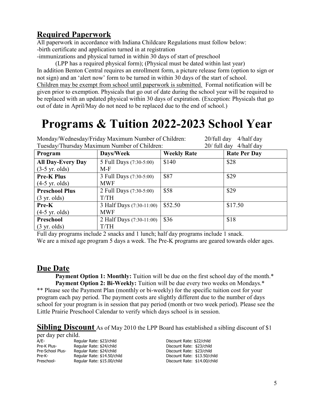# **Required Paperwork**

All paperwork in accordance with Indiana Childcare Regulations must follow below: -birth certificate and application turned in at registration

-immunizations and physical turned in within 30 days of start of preschool

out of date in April/May do not need to be replaced due to the end of school.)

MWF

T/TH

2 Half Days (7:30-11:00)

(LPP has a required physical form); (Physical must be dated within last year) In addition Benton Central requires an enrollment form, a picture release form (option to sign or not sign) and an "alert now" form to be turned in within 30 days of the start of school. Children may be exempt from school until paperwork is submitted. Formal notification will be given prior to exemption. Physicals that go out of date during the school year will be required to be replaced with an updated physical within 30 days of expiration. (Exception: Physicals that go

# **Programs & Tuition 2022-2023 School Year**

Monday/Wednesday/Friday Maximum Number of Children: 20/full day 4/half day Tuesday/Thursday Maximum Number of Children: 20/ full day 4/half day **Program Days/Week Weekly Rate Rate Per Day All Day-Every Day** (3-5 yr. olds) 5 Full Days (7:30-5:00) M-F \$140 \$28 **Pre-K Plus** (4-5 yr. olds) 3 Full Days (7:30-5:00) MWF \$87 \$29 **Preschool Plus** (3 yr. olds) 2 Full Days (7:30-5:00) T/TH \$58 \$29 **Pre-K** 3 Half Days (7:30-11:00)  $$52.50$   $$17.50$ 

Full day programs include 2 snacks and 1 lunch; half day programs include 1 snack. We are a mixed age program 5 days a week. The Pre-K programs are geared towards older ages.

# **Due Date**

(4-5 yr. olds)

**Preschool**  (3 yr. olds)

**Payment Option 1: Monthly:** Tuition will be due on the first school day of the month.\* **Payment Option 2: Bi-Weekly:** Tuition will be due every two weeks on Mondays.\* \*\* Please see the Payment Plan (monthly or bi-weekly) for the specific tuition cost for your program each pay period. The payment costs are slightly different due to the number of days school for your program is in session that pay period (month or two week period). Please see the Little Prairie Preschool Calendar to verify which days school is in session.

**Sibling Discount** As of May 2010 the LPP Board has established a sibling discount of \$1

| per day per child. |                             |
|--------------------|-----------------------------|
| A/E-               | Regular Rate: \$23/child    |
| Pre-K Plus-        | Regular Rate: \$24/child    |
| Pre-School Plus-   | Regular Rate: \$24/child    |
| Pre-K-             | Regular Rate: \$14.50/child |
| Preschool-         | Regular Rate: \$15.00/child |

Discount Rate: \$22/child Discount Rate: \$23/child Discount Rate: \$23/child Discount Rate: \$13.50/child Discount Rate: \$14.00/child

 $$36$   $$18$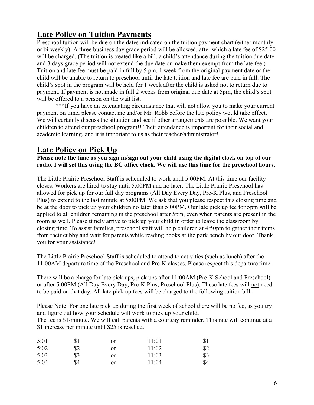# **Late Policy on Tuition Payments**

Preschool tuition will be due on the dates indicated on the tuition payment chart (either monthly or bi-weekly). A three business day grace period will be allowed, after which a late fee of \$25.00 will be charged. (The tuition is treated like a bill, a child's attendance during the tuition due date and 3 days grace period will not extend the due date or make them exempt from the late fee.) Tuition and late fee must be paid in full by 5 pm, 1 week from the original payment date or the child will be unable to return to preschool until the late tuition and late fee are paid in full. The child"s spot in the program will be held for 1 week after the child is asked not to return due to payment. If payment is not made in full 2 weeks from original due date at 5pm, the child"s spot will be offered to a person on the wait list.

\*\*\*If you have an extenuating circumstance that will not allow you to make your current payment on time, please contact me and/or Mr. Robb before the late policy would take effect. We will certainly discuss the situation and see if other arrangements are possible. We want your children to attend our preschool program!! Their attendance is important for their social and academic learning, and it is important to us as their teacher/administrator!

# **Late Policy on Pick Up**

**Please note the time as you sign in/sign out your child using the digital clock on top of our radio. I will set this using the BC office clock. We will use this time for the preschool hours.**

The Little Prairie Preschool Staff is scheduled to work until 5:00PM. At this time our facility closes. Workers are hired to stay until 5:00PM and no later. The Little Prairie Preschool has allowed for pick up for our full day programs (All Day Every Day, Pre-K Plus, and Preschool Plus) to extend to the last minute at 5:00PM. We ask that you please respect this closing time and be at the door to pick up your children no later than 5:00PM. Our late pick up fee for 5pm will be applied to all children remaining in the preschool after 5pm, even when parents are present in the room as well. Please timely arrive to pick up your child in order to leave the classroom by closing time. To assist families, preschool staff will help children at 4:50pm to gather their items from their cubby and wait for parents while reading books at the park bench by our door. Thank you for your assistance!

The Little Prairie Preschool Staff is scheduled to attend to activities (such as lunch) after the 11:00AM departure time of the Preschool and Pre-K classes. Please respect this departure time.

There will be a charge for late pick ups, pick ups after 11:00AM (Pre-K School and Preschool) or after 5:00PM (All Day Every Day, Pre-K Plus, Preschool Plus). These late fees will not need to be paid on that day. All late pick up fees will be charged to the following tuition bill.

Please Note: For one late pick up during the first week of school there will be no fee, as you try and figure out how your schedule will work to pick up your child.

The fee is \$1/minute. We will call parents with a courtesy reminder. This rate will continue at a \$1 increase per minute until \$25 is reached.

| 5:01 | \$1 | or | 11:01 | \$1 |
|------|-----|----|-------|-----|
| 5:02 | \$2 | or | 11:02 | \$2 |
| 5:03 | \$3 | or | 11:03 | \$3 |
| 5:04 | \$4 | or | 11:04 | \$4 |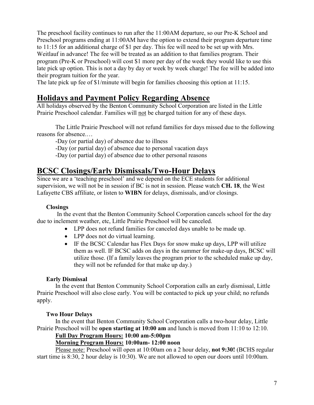The preschool facility continues to run after the 11:00AM departure, so our Pre-K School and Preschool programs ending at 11:00AM have the option to extend their program departure time to 11:15 for an additional charge of \$1 per day. This fee will need to be set up with Mrs. Weitlauf in advance! The fee will be treated as an addition to that families program. Their program (Pre-K or Preschool) will cost \$1 more per day of the week they would like to use this late pick up option. This is not a day by day or week by week charge! The fee will be added into their program tuition for the year.

The late pick up fee of \$1/minute will begin for families choosing this option at 11:15.

### **Holidays and Payment Policy Regarding Absence**

All holidays observed by the Benton Community School Corporation are listed in the Little Prairie Preschool calendar. Families will not be charged tuition for any of these days.

The Little Prairie Preschool will not refund families for days missed due to the following reasons for absence.…

-Day (or partial day) of absence due to illness

-Day (or partial day) of absence due to personal vacation days

-Day (or partial day) of absence due to other personal reasons

### **BCSC Closings/Early Dismissals/Two-Hour Delays**

Since we are a "teaching preschool" and we depend on the ECE students for additional supervision, we will not be in session if BC is not in session. Please watch **CH. 18**, the West Lafayette CBS affiliate, or listen to **WIBN** for delays, dismissals, and/or closings.

#### **Closings**

In the event that the Benton Community School Corporation cancels school for the day due to inclement weather, etc, Little Prairie Preschool will be canceled.

- LPP does not refund families for canceled days unable to be made up.
- LPP does not do virtual learning.
- IF the BCSC Calendar has Flex Days for snow make up days, LPP will utilize them as well. IF BCSC adds on days in the summer for make-up days, BCSC will utilize those. (If a family leaves the program prior to the scheduled make up day, they will not be refunded for that make up day.)

#### **Early Dismissal**

In the event that Benton Community School Corporation calls an early dismissal, Little Prairie Preschool will also close early. You will be contacted to pick up your child; no refunds apply.

#### **Two Hour Delays**

In the event that Benton Community School Corporation calls a two-hour delay, Little Prairie Preschool will be **open starting at 10:00 am** and lunch is moved from 11:10 to 12:10.

#### **Full Day Program Hours: 10:00 am-5:00pm**

#### **Morning Program Hours: 10:00am- 12:00 noon**

Please note: Preschool will open at 10:00am on a 2 hour delay, **not 9:30!** (BCHS regular start time is 8:30, 2 hour delay is 10:30). We are not allowed to open our doors until 10:00am.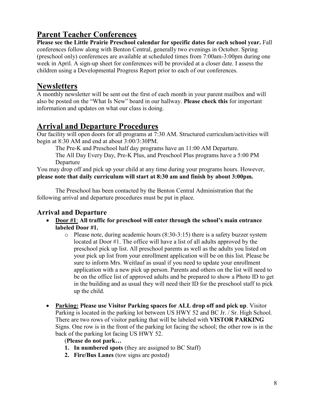# **Parent Teacher Conferences**

Please see the Little Prairie Preschool calendar for specific dates for each school year. Fall conferences follow along with Benton Central, generally two evenings in October. Spring (preschool only) conferences are available at scheduled times from 7:00am-3:00pm during one week in April. A sign-up sheet for conferences will be provided at a closer date. I assess the children using a Developmental Progress Report prior to each of our conferences.

### **Newsletters**

A monthly newsletter will be sent out the first of each month in your parent mailbox and will also be posted on the "What Is New" board in our hallway. **Please check this** for important information and updates on what our class is doing.

# **Arrival and Departure Procedures**

Our facility will open doors for all programs at 7:30 AM. Structured curriculum/activities will begin at 8:30 AM and end at about 3:00/3:30PM.

The Pre-K and Preschool half day programs have an 11:00 AM Departure. The All Day Every Day, Pre-K Plus, and Preschool Plus programs have a 5:00 PM Departure

You may drop off and pick up your child at any time during your programs hours. However, **please note that daily curriculum will start at 8:30 am and finish by about 3:00pm.**

The Preschool has been contacted by the Benton Central Administration that the following arrival and departure procedures must be put in place.

### **Arrival and Departure**

- **Door #1**: **All traffic for preschool will enter through the school's main entrance labeled Door #1.** 
	- o Please note, during academic hours (8:30-3:15) there is a safety buzzer system located at Door #1. The office will have a list of all adults approved by the preschool pick up list. All preschool parents as well as the adults you listed on your pick up list from your enrollment application will be on this list. Please be sure to inform Mrs. Weitlauf as usual if you need to update your enrollment application with a new pick up person. Parents and others on the list will need to be on the office list of approved adults and be prepared to show a Photo ID to get in the building and as usual they will need their ID for the preschool staff to pick up the child.
- **Parking: Please use Visitor Parking spaces for ALL drop off and pick up**. Visitor Parking is located in the parking lot between US HWY 52 and BC Jr. / Sr. High School. There are two rows of visitor parking that will be labeled with **VISTOR PARKING** Signs. One row is in the front of the parking lot facing the school; the other row is in the back of the parking lot facing US HWY 52.

(**Please do not park…**

- **1. In numbered spots** (they are assigned to BC Staff)
- **2. Fire/Bus Lanes** (tow signs are posted)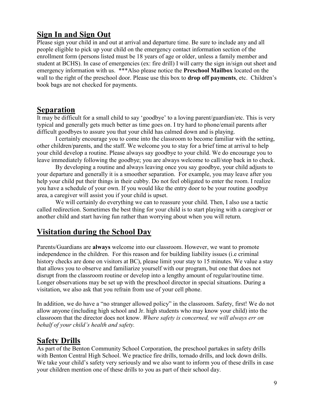# **Sign In and Sign Out**

Please sign your child in and out at arrival and departure time. Be sure to include any and all people eligible to pick up your child on the emergency contact information section of the enrollment form (persons listed must be 18 years of age or older, unless a family member and student at BCHS). In case of emergencies (ex: fire drill) I will carry the sign in/sign out sheet and emergency information with us. \*\*\*Also please notice the **Preschool Mailbox** located on the wall to the right of the preschool door. Please use this box to **drop off payments**, etc. Children"s book bags are not checked for payments.

### **Separation**

It may be difficult for a small child to say "goodbye" to a loving parent/guardian/etc. This is very typical and generally gets much better as time goes on. I try hard to phone/email parents after difficult goodbyes to assure you that your child has calmed down and is playing.

I certainly encourage you to come into the classroom to become familiar with the setting, other children/parents, and the staff. We welcome you to stay for a brief time at arrival to help your child develop a routine. Please always say goodbye to your child. We do encourage you to leave immediately following the goodbye; you are always welcome to call/stop back in to check.

By developing a routine and always leaving once you say goodbye, your child adjusts to your departure and generally it is a smoother separation. For example, you may leave after you help your child put their things in their cubby. Do not feel obligated to enter the room. I realize you have a schedule of your own. If you would like the entry door to be your routine goodbye area, a caregiver will assist you if your child is upset.

We will certainly do everything we can to reassure your child. Then, I also use a tactic called redirection. Sometimes the best thing for your child is to start playing with a caregiver or another child and start having fun rather than worrying about when you will return.

# **Visitation during the School Day**

Parents/Guardians are **always** welcome into our classroom. However, we want to promote independence in the children. For this reason and for building liability issues (i.e criminal history checks are done on visitors at BC), please limit your stay to 15 minutes. We value a stay that allows you to observe and familiarize yourself with our program, but one that does not disrupt from the classroom routine or develop into a lengthy amount of regular/routine time. Longer observations may be set up with the preschool director in special situations. During a visitation, we also ask that you refrain from use of your cell phone.

In addition, we do have a "no stranger allowed policy" in the classroom. Safety, first! We do not allow anyone (including high school and Jr. high students who may know your child) into the classroom that the director does not know. *Where safety is concerned, we will always err on behalf of your child's health and safety.*

# **Safety Drills**

As part of the Benton Community School Corporation, the preschool partakes in safety drills with Benton Central High School. We practice fire drills, tornado drills, and lock down drills. We take your child's safety very seriously and we also want to inform you of these drills in case your children mention one of these drills to you as part of their school day.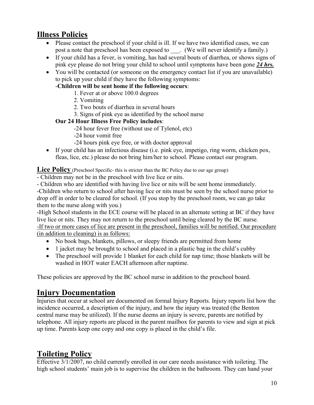# **Illness Policies**

- Please contact the preschool if your child is ill. If we have two identified cases, we can post a note that preschool has been exposed to \_\_\_. (We will never identify a family.)
- If your child has a fever, is vomiting, has had several bouts of diarrhea, or shows signs of pink eye please do not bring your child to school until symptoms have been gone *24 hrs.*
- You will be contacted (or someone on the emergency contact list if you are unavailable) to pick up your child if they have the following symptoms:

#### -**Children will be sent home if the following occurs**:

- 1. Fever at or above 100.0 degrees
- 2. Vomiting
- 2. Two bouts of diarrhea in several hours
- 3. Signs of pink eye as identified by the school nurse

#### **Our 24 Hour Illness Free Policy includes**:

- -24 hour fever free (without use of Tylenol, etc)
- -24 hour vomit free
- -24 hours pink eye free, or with doctor approval
- If your child has an infectious disease (i.e. pink eye, impetigo, ring worm, chicken pox, fleas, lice, etc.) please do not bring him/her to school. Please contact our program.

**Lice Policy** (Preschool Specific- this is stricter than the BC Policy due to our age group)

- Children may not be in the preschool with live lice or nits.
- Children who are identified with having live lice or nits will be sent home immediately.

-Children who return to school after having lice or nits must be seen by the school nurse prior to drop off in order to be cleared for school. (If you stop by the preschool room, we can go take them to the nurse along with you.)

-High School students in the ECE course will be placed in an alternate setting at BC if they have live lice or nits. They may not return to the preschool until being cleared by the BC nurse. -If two or more cases of lice are present in the preschool, families will be notified. Our procedure (in addition to cleaning) is as follows:

- No book bags, blankets, pillows, or sleepy friends are permitted from home
- $\bullet$  1 jacket may be brought to school and placed in a plastic bag in the child's cubby
- The preschool will provide 1 blanket for each child for nap time; those blankets will be washed in HOT water EACH afternoon after naptime.

These policies are approved by the BC school nurse in addition to the preschool board.

# **Injury Documentation**

Injuries that occur at school are documented on formal Injury Reports. Injury reports list how the incidence occurred, a description of the injury, and how the injury was treated (the Benton central nurse may be utilized). If the nurse deems an injury is severe, parents are notified by telephone. All injury reports are placed in the parent mailbox for parents to view and sign at pick up time. Parents keep one copy and one copy is placed in the child"s file.

# **Toileting Policy**

Effective 3/1/2007, no child currently enrolled in our care needs assistance with toileting. The high school students' main job is to supervise the children in the bathroom. They can hand your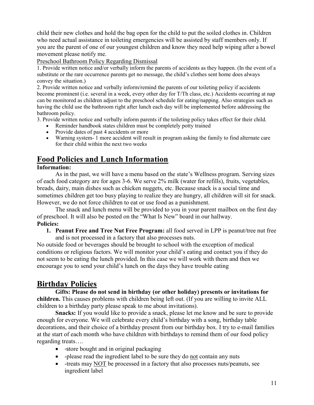child their new clothes and hold the bag open for the child to put the soiled clothes in. Children who need actual assistance in toileting emergencies will be assisted by staff members only. If you are the parent of one of our youngest children and know they need help wiping after a bowel movement please notify me.

Preschool Bathroom Policy Regarding Dismissal

1. Provide written notice and/or verbally inform the parents of accidents as they happen. (In the event of a substitute or the rare occurrence parents get no message, the child"s clothes sent home does always convey the situation.)

2. Provide written notice and verbally inform/remind the parents of our toileting policy if accidents become prominent (i.e. several in a week, every other day for T/Th class, etc.) Accidents occurring at nap can be monitored as children adjust to the preschool schedule for eating/napping. Also strategies such as having the child use the bathroom right after lunch each day will be implemented before addressing the bathroom policy.

3. Provide written notice and verbally inform parents if the toileting policy takes effect for their child.

- Reminder handbook states children must be completely potty trained
- Provide dates of past 4 accidents or more
- Warning system- 1 more accident will result in program asking the family to find alternate care for their child within the next two weeks

# **Food Policies and Lunch Information**

#### **Information:**

As in the past, we will have a menu based on the state's Wellness program. Serving sizes of each food category are for ages 3-6. We serve 2% milk (water for refills), fruits, vegetables, breads, dairy, main dishes such as chicken nuggets, etc. Because snack is a social time and sometimes children get too busy playing to realize they are hungry, all children will sit for snack. However, we do not force children to eat or use food as a punishment.

The snack and lunch menu will be provided to you in your parent mailbox on the first day of preschool. It will also be posted on the "What Is New" board in our hallway. **Policies:**

**1. Peanut Free and Tree Nut Free Program:** all food served in LPP is peanut/tree nut free and is not processed in a factory that also processes nuts.

No outside food or beverages should be brought to school with the exception of medical conditions or religious factors. We will monitor your child"s eating and contact you if they do not seem to be eating the lunch provided. In this case we will work with them and then we encourage you to send your child"s lunch on the days they have trouble eating

# **Birthday Policies**

**Gifts: Please do not send in birthday (or other holiday) presents or invitations for children.** This causes problems with children being left out. (If you are willing to invite ALL children to a birthday party please speak to me about invitations).

**Snacks:** If you would like to provide a snack, please let me know and be sure to provide enough for everyone. We will celebrate every child"s birthday with a song, birthday table decorations, and their choice of a birthday present from our birthday box. I try to e-mail families at the start of each month who have children with birthdays to remind them of our food policy regarding treats….

- -store bought and in original packaging
- -please read the ingredient label to be sure they do not contain any nuts
- -treats may NOT be processed in a factory that also processes nuts/peanuts, see ingredient label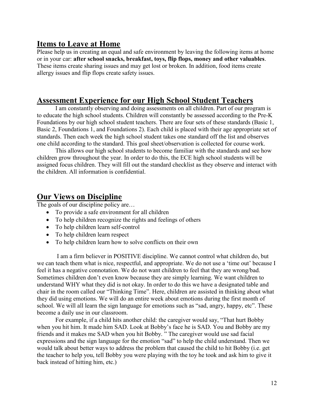### **Items to Leave at Home**

Please help us in creating an equal and safe environment by leaving the following items at home or in your car: **after school snacks, breakfast, toys, flip flops, money and other valuables**. These items create sharing issues and may get lost or broken. In addition, food items create allergy issues and flip flops create safety issues.

### **Assessment Experience for our High School Student Teachers**

I am constantly observing and doing assessments on all children. Part of our program is to educate the high school students. Children will constantly be assessed according to the Pre-K Foundations by our high school student teachers. There are four sets of these standards (Basic 1, Basic 2, Foundations 1, and Foundations 2). Each child is placed with their age appropriate set of standards. Then each week the high school student takes one standard off the list and observes one child according to the standard. This goal sheet/observation is collected for course work.

This allows our high school students to become familiar with the standards and see how children grow throughout the year. In order to do this, the ECE high school students will be assigned focus children. They will fill out the standard checklist as they observe and interact with the children. All information is confidential.

### **Our Views on Discipline**

The goals of our discipline policy are...

- To provide a safe environment for all children
- To help children recognize the rights and feelings of others
- To help children learn self-control
- To help children learn respect
- To help children learn how to solve conflicts on their own

I am a firm believer in POSITIVE discipline. We cannot control what children do, but we can teach them what is nice, respectful, and appropriate. We do not use a "time out" because I feel it has a negative connotation. We do not want children to feel that they are wrong/bad. Sometimes children don't even know because they are simply learning. We want children to understand WHY what they did is not okay. In order to do this we have a designated table and chair in the room called our "Thinking Time". Here, children are assisted in thinking about what they did using emotions. We will do an entire week about emotions during the first month of school. We will all learn the sign language for emotions such as "sad, angry, happy, etc". These become a daily use in our classroom.

For example, if a child hits another child: the caregiver would say, "That hurt Bobby when you hit him. It made him SAD. Look at Bobby"s face he is SAD. You and Bobby are my friends and it makes me SAD when you hit Bobby. " The caregiver would use sad facial expressions and the sign language for the emotion "sad" to help the child understand. Then we would talk about better ways to address the problem that caused the child to hit Bobby (i.e. get the teacher to help you, tell Bobby you were playing with the toy he took and ask him to give it back instead of hitting him, etc.)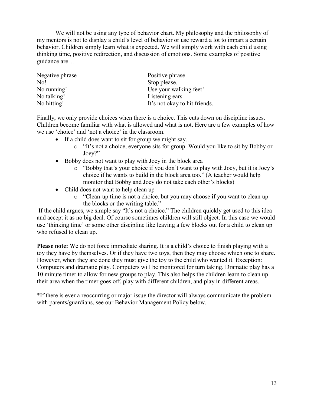We will not be using any type of behavior chart. My philosophy and the philosophy of my mentors is not to display a child"s level of behavior or use reward a lot to impart a certain behavior. Children simply learn what is expected. We will simply work with each child using thinking time, positive redirection, and discussion of emotions. Some examples of positive guidance are…

| Positive phrase               |
|-------------------------------|
| Stop please.                  |
| Use your walking feet!        |
| Listening ears                |
| It's not okay to hit friends. |
|                               |

Finally, we only provide choices when there is a choice. This cuts down on discipline issues. Children become familiar with what is allowed and what is not. Here are a few examples of how we use "choice" and "not a choice" in the classroom.

- If a child does want to sit for group we might say...
	- o "It"s not a choice, everyone sits for group. Would you like to sit by Bobby or Joey?"
- Bobby does not want to play with Joey in the block area
	- o "Bobby that"s your choice if you don"t want to play with Joey, but it is Joey"s choice if he wants to build in the block area too." (A teacher would help monitor that Bobby and Joey do not take each other's blocks)
- Child does not want to help clean up
	- o "Clean-up time is not a choice, but you may choose if you want to clean up the blocks or the writing table."

If the child argues, we simple say "It's not a choice." The children quickly get used to this idea and accept it as no big deal. Of course sometimes children will still object. In this case we would use "thinking time" or some other discipline like leaving a few blocks out for a child to clean up who refused to clean up.

**Please note:** We do not force immediate sharing. It is a child's choice to finish playing with a toy they have by themselves. Or if they have two toys, then they may choose which one to share. However, when they are done they must give the toy to the child who wanted it. Exception: Computers and dramatic play. Computers will be monitored for turn taking. Dramatic play has a 10 minute timer to allow for new groups to play. This also helps the children learn to clean up their area when the timer goes off, play with different children, and play in different areas.

\*If there is ever a reoccurring or major issue the director will always communicate the problem with parents/guardians, see our Behavior Management Policy below.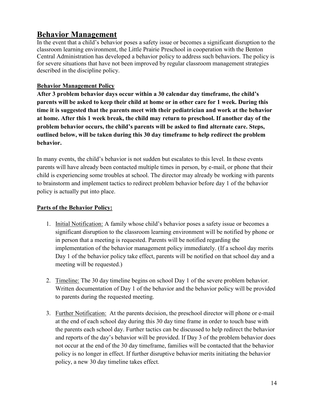# **Behavior Management**

In the event that a child"s behavior poses a safety issue or becomes a significant disruption to the classroom learning environment, the Little Prairie Preschool in cooperation with the Benton Central Administration has developed a behavior policy to address such behaviors. The policy is for severe situations that have not been improved by regular classroom management strategies described in the discipline policy.

### **Behavior Management Policy**

**After 3 problem behavior days occur within a 30 calendar day timeframe, the child's parents will be asked to keep their child at home or in other care for 1 week. During this time it is suggested that the parents meet with their pediatrician and work at the behavior at home. After this 1 week break, the child may return to preschool. If another day of the problem behavior occurs, the child's parents will be asked to find alternate care. Steps, outlined below, will be taken during this 30 day timeframe to help redirect the problem behavior.**

In many events, the child"s behavior is not sudden but escalates to this level. In these events parents will have already been contacted multiple times in person, by e-mail, or phone that their child is experiencing some troubles at school. The director may already be working with parents to brainstorm and implement tactics to redirect problem behavior before day 1 of the behavior policy is actually put into place.

### **Parts of the Behavior Policy:**

- 1. Initial Notification: A family whose child"s behavior poses a safety issue or becomes a significant disruption to the classroom learning environment will be notified by phone or in person that a meeting is requested. Parents will be notified regarding the implementation of the behavior management policy immediately. (If a school day merits Day 1 of the behavior policy take effect, parents will be notified on that school day and a meeting will be requested.)
- 2. Timeline: The 30 day timeline begins on school Day 1 of the severe problem behavior. Written documentation of Day 1 of the behavior and the behavior policy will be provided to parents during the requested meeting.
- 3. Further Notification: At the parents decision, the preschool director will phone or e-mail at the end of each school day during this 30 day time frame in order to touch base with the parents each school day. Further tactics can be discussed to help redirect the behavior and reports of the day"s behavior will be provided. If Day 3 of the problem behavior does not occur at the end of the 30 day timeframe, families will be contacted that the behavior policy is no longer in effect. If further disruptive behavior merits initiating the behavior policy, a new 30 day timeline takes effect.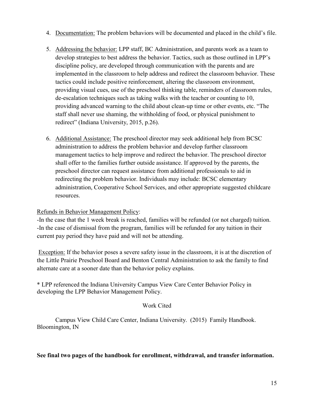- 4. Documentation: The problem behaviors will be documented and placed in the child"s file.
- 5. Addressing the behavior: LPP staff, BC Administration, and parents work as a team to develop strategies to best address the behavior. Tactics, such as those outlined in LPP"s discipline policy, are developed through communication with the parents and are implemented in the classroom to help address and redirect the classroom behavior. These tactics could include positive reinforcement, altering the classroom environment, providing visual cues, use of the preschool thinking table, reminders of classroom rules, de-escalation techniques such as taking walks with the teacher or counting to 10, providing advanced warning to the child about clean-up time or other events, etc. "The staff shall never use shaming, the withholding of food, or physical punishment to redirect" (Indiana University, 2015, p.26).
- 6. Additional Assistance: The preschool director may seek additional help from BCSC administration to address the problem behavior and develop further classroom management tactics to help improve and redirect the behavior. The preschool director shall offer to the families further outside assistance. If approved by the parents, the preschool director can request assistance from additional professionals to aid in redirecting the problem behavior. Individuals may include: BCSC elementary administration, Cooperative School Services, and other appropriate suggested childcare resources.

#### Refunds in Behavior Management Policy:

-In the case that the 1 week break is reached, families will be refunded (or not charged) tuition. -In the case of dismissal from the program, families will be refunded for any tuition in their current pay period they have paid and will not be attending.

Exception: If the behavior poses a severe safety issue in the classroom, it is at the discretion of the Little Prairie Preschool Board and Benton Central Administration to ask the family to find alternate care at a sooner date than the behavior policy explains.

\* LPP referenced the Indiana University Campus View Care Center Behavior Policy in developing the LPP Behavior Management Policy.

#### Work Cited

Campus View Child Care Center, Indiana University. (2015) Family Handbook. Bloomington, IN

#### **See final two pages of the handbook for enrollment, withdrawal, and transfer information.**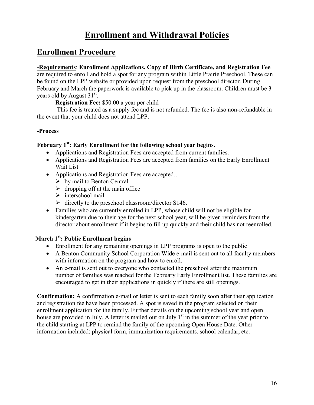# **Enrollment and Withdrawal Policies**

### **Enrollment Procedure**

#### **-Requirements**: **Enrollment Applications, Copy of Birth Certificate, and Registration Fee**

are required to enroll and hold a spot for any program within Little Prairie Preschool. These can be found on the LPP website or provided upon request from the preschool director. During February and March the paperwork is available to pick up in the classroom. Children must be 3 years old by August  $31<sup>st</sup>$ .

#### **Registration Fee:** \$50.00 a year per child

This fee is treated as a supply fee and is not refunded. The fee is also non-refundable in the event that your child does not attend LPP.

#### **-Process**

### **February 1st: Early Enrollment for the following school year begins.**

- Applications and Registration Fees are accepted from current families.
- Applications and Registration Fees are accepted from families on the Early Enrollment Wait List
- Applications and Registration Fees are accepted...
	- $\triangleright$  by mail to Benton Central
	- $\triangleright$  dropping off at the main office
	- $\triangleright$  interschool mail
	- $\triangleright$  directly to the preschool classroom/director S146.
- Families who are currently enrolled in LPP, whose child will not be eligible for kindergarten due to their age for the next school year, will be given reminders from the director about enrollment if it begins to fill up quickly and their child has not reenrolled.

#### **March 1st: Public Enrollment begins**

- Enrollment for any remaining openings in LPP programs is open to the public
- A Benton Community School Corporation Wide e-mail is sent out to all faculty members with information on the program and how to enroll.
- An e-mail is sent out to everyone who contacted the preschool after the maximum number of families was reached for the February Early Enrollment list. These families are encouraged to get in their applications in quickly if there are still openings.

**Confirmation:** A confirmation e-mail or letter is sent to each family soon after their application and registration fee have been processed. A spot is saved in the program selected on their enrollment application for the family. Further details on the upcoming school year and open house are provided in July. A letter is mailed out on July  $1<sup>st</sup>$  in the summer of the year prior to the child starting at LPP to remind the family of the upcoming Open House Date. Other information included: physical form, immunization requirements, school calendar, etc.